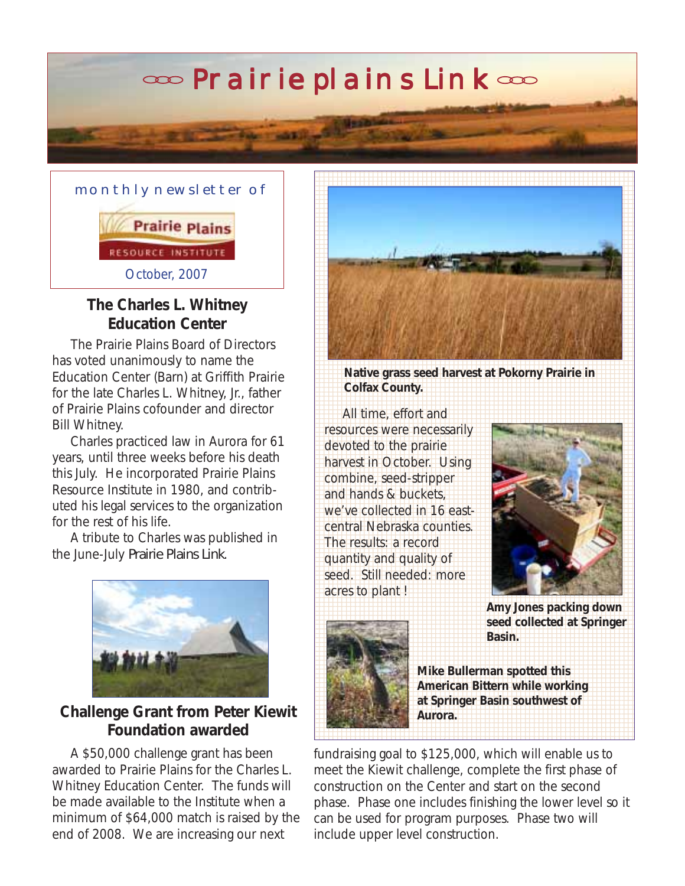# $\infty$  Prairie plains Link  $\infty$



#### **The Charles L. Whitney Education Center**

 The Prairie Plains Board of Directors has voted unanimously to name the Education Center (Barn) at Griffith Prairie for the late Charles L. Whitney, Jr., father of Prairie Plains cofounder and director Bill Whitney.

 Charles practiced law in Aurora for 61 years, until three weeks before his death this July. He incorporated Prairie Plains Resource Institute in 1980, and contributed his legal services to the organization for the rest of his life.

 A tribute to Charles was published in the June-July *Prairie Plains Link*.



## **Challenge Grant from Peter Kiewit Foundation awarded**

 A \$50,000 challenge grant has been awarded to Prairie Plains for the Charles L. Whitney Education Center. The funds will be made available to the Institute when a minimum of \$64,000 match is raised by the end of 2008. We are increasing our next



**Native grass seed harvest at Pokorny Prairie in**  8 1 8 1 8 **Colfax County.** 8 8

8

 8 **1 8 All time, effort and the state of the All time, effort and the state of the All time, effort and the All time**  8 8 1 8 1 8 resources were necessarily 8 devoted to the prairie and the prairie of the state of the state of the state of the state of the state of the state of the state of the state of the state of the state of the state of the state of the state of the state o 8 **1 Barvest in October. Using the company of the state of the state of the state of the state of the state of the state of the state of the state of the state of the state of the state of the state of the state of the state**  8 combine, seed-stripper and hands & buckets, **1999 and hands & buckets, 1999 and 1999**  8 we've collected in 16 east- 8 1 8 1 8 central Nebraska counties. 8 **1 The results: a record in the results:** a record 8 8 1 8 1 8 quantity and quality of seed. Still needed: more **1999 The State of State 1999** 8



 8 1 8 **Amy Jones packing down** 8 8 1 8 1 8 **seed collected at Springer** 8 1 8 **Basin.** 8



 8 1 8 1 8 **Mike Bullerman spotted this** 8 1 8 1 8 **American Bittern while working** 8 1 8 1 8 **at Springer Basin southwest of** 8

fundraising goal to \$125,000, which will enable us to meet the Kiewit challenge, complete the first phase of construction on the Center and start on the second phase. Phase one includes finishing the lower level so it can be used for program purposes. Phase two will include upper level construction.